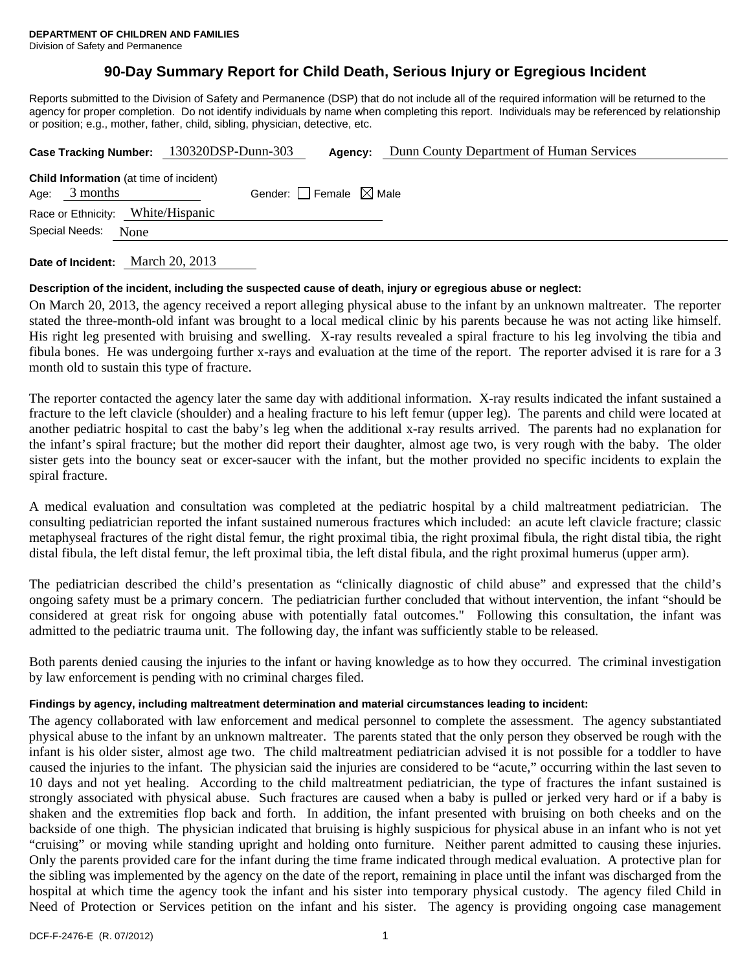# **90-Day Summary Report for Child Death, Serious Injury or Egregious Incident**

Reports submitted to the Division of Safety and Permanence (DSP) that do not include all of the required information will be returned to the agency for proper completion. Do not identify individuals by name when completing this report. Individuals may be referenced by relationship or position; e.g., mother, father, child, sibling, physician, detective, etc.

|                                                                   | Case Tracking Number: 130320DSP-Dunn-303 | Agency:                         | Dunn County Department of Human Services |
|-------------------------------------------------------------------|------------------------------------------|---------------------------------|------------------------------------------|
| <b>Child Information</b> (at time of incident)<br>Age: $3$ months |                                          | Gender: Female $\boxtimes$ Male |                                          |
| Race or Ethnicity: White/Hispanic                                 |                                          |                                 |                                          |
| Special Needs:<br>None                                            |                                          |                                 |                                          |
|                                                                   |                                          |                                 |                                          |

**Date of Incident:** March 20, 2013

### **Description of the incident, including the suspected cause of death, injury or egregious abuse or neglect:**

On March 20, 2013, the agency received a report alleging physical abuse to the infant by an unknown maltreater. The reporter stated the three-month-old infant was brought to a local medical clinic by his parents because he was not acting like himself. His right leg presented with bruising and swelling. X-ray results revealed a spiral fracture to his leg involving the tibia and fibula bones. He was undergoing further x-rays and evaluation at the time of the report. The reporter advised it is rare for a 3 month old to sustain this type of fracture.

The reporter contacted the agency later the same day with additional information. X-ray results indicated the infant sustained a fracture to the left clavicle (shoulder) and a healing fracture to his left femur (upper leg). The parents and child were located at another pediatric hospital to cast the baby's leg when the additional x-ray results arrived. The parents had no explanation for the infant's spiral fracture; but the mother did report their daughter, almost age two, is very rough with the baby. The older sister gets into the bouncy seat or excer-saucer with the infant, but the mother provided no specific incidents to explain the spiral fracture.

A medical evaluation and consultation was completed at the pediatric hospital by a child maltreatment pediatrician. The consulting pediatrician reported the infant sustained numerous fractures which included: an acute left clavicle fracture; classic metaphyseal fractures of the right distal femur, the right proximal tibia, the right proximal fibula, the right distal tibia, the right distal fibula, the left distal femur, the left proximal tibia, the left distal fibula, and the right proximal humerus (upper arm).

The pediatrician described the child's presentation as "clinically diagnostic of child abuse" and expressed that the child's ongoing safety must be a primary concern. The pediatrician further concluded that without intervention, the infant "should be considered at great risk for ongoing abuse with potentially fatal outcomes." Following this consultation, the infant was admitted to the pediatric trauma unit. The following day, the infant was sufficiently stable to be released.

Both parents denied causing the injuries to the infant or having knowledge as to how they occurred. The criminal investigation by law enforcement is pending with no criminal charges filed.

## **Findings by agency, including maltreatment determination and material circumstances leading to incident:**

The agency collaborated with law enforcement and medical personnel to complete the assessment. The agency substantiated physical abuse to the infant by an unknown maltreater. The parents stated that the only person they observed be rough with the infant is his older sister, almost age two. The child maltreatment pediatrician advised it is not possible for a toddler to have caused the injuries to the infant. The physician said the injuries are considered to be "acute," occurring within the last seven to 10 days and not yet healing. According to the child maltreatment pediatrician, the type of fractures the infant sustained is strongly associated with physical abuse. Such fractures are caused when a baby is pulled or jerked very hard or if a baby is shaken and the extremities flop back and forth. In addition, the infant presented with bruising on both cheeks and on the backside of one thigh. The physician indicated that bruising is highly suspicious for physical abuse in an infant who is not yet "cruising" or moving while standing upright and holding onto furniture. Neither parent admitted to causing these injuries. Only the parents provided care for the infant during the time frame indicated through medical evaluation. A protective plan for the sibling was implemented by the agency on the date of the report, remaining in place until the infant was discharged from the hospital at which time the agency took the infant and his sister into temporary physical custody. The agency filed Child in Need of Protection or Services petition on the infant and his sister. The agency is providing ongoing case management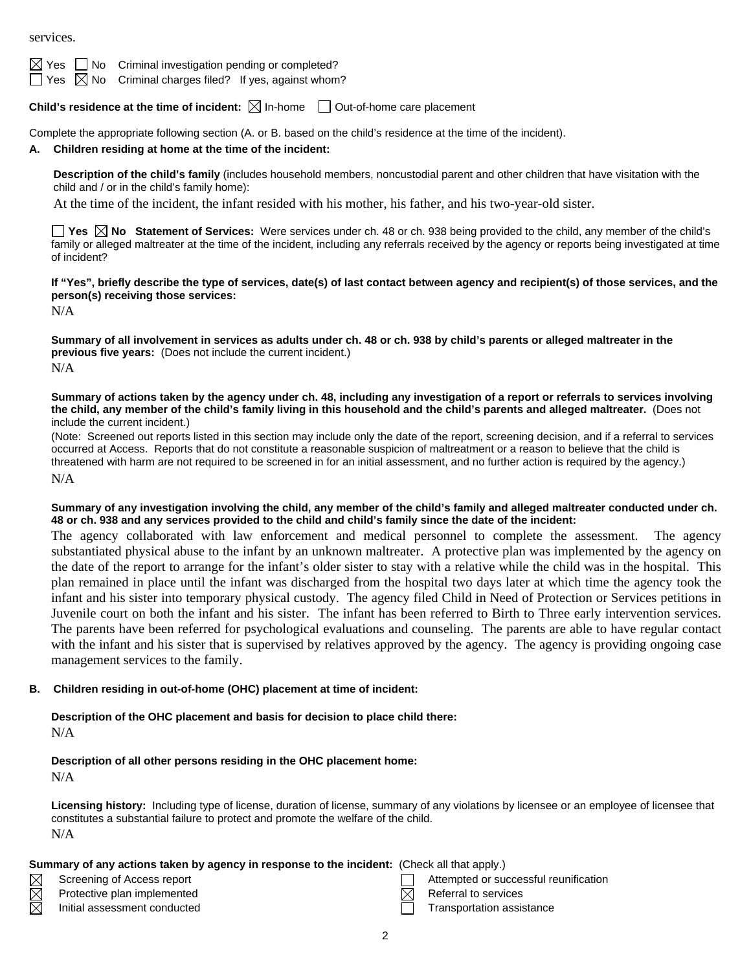services.

No Criminal investigation pending or completed?

 $\boxtimes$  No Criminal charges filed? If yes, against whom?

**Child's residence at the time of incident:**  $\boxtimes$  In-home  $\Box$  Out-of-home care placement

Complete the appropriate following section (A. or B. based on the child's residence at the time of the incident).

## **A. Children residing at home at the time of the incident:**

**Description of the child's family** (includes household members, noncustodial parent and other children that have visitation with the child and / or in the child's family home):

At the time of the incident, the infant resided with his mother, his father, and his two-year-old sister.

**Yes**  $\boxtimes$  **No** Statement of Services: Were services under ch. 48 or ch. 938 being provided to the child, any member of the child's family or alleged maltreater at the time of the incident, including any referrals received by the agency or reports being investigated at time of incident?

**If "Yes", briefly describe the type of services, date(s) of last contact between agency and recipient(s) of those services, and the person(s) receiving those services:** 

N/A

**Summary of all involvement in services as adults under ch. 48 or ch. 938 by child's parents or alleged maltreater in the previous five years:** (Does not include the current incident.) N/A

**Summary of actions taken by the agency under ch. 48, including any investigation of a report or referrals to services involving the child, any member of the child's family living in this household and the child's parents and alleged maltreater.** (Does not include the current incident.)

(Note: Screened out reports listed in this section may include only the date of the report, screening decision, and if a referral to services occurred at Access. Reports that do not constitute a reasonable suspicion of maltreatment or a reason to believe that the child is threatened with harm are not required to be screened in for an initial assessment, and no further action is required by the agency.) N/A

**Summary of any investigation involving the child, any member of the child's family and alleged maltreater conducted under ch. 48 or ch. 938 and any services provided to the child and child's family since the date of the incident:** 

The agency collaborated with law enforcement and medical personnel to complete the assessment. The agency substantiated physical abuse to the infant by an unknown maltreater. A protective plan was implemented by the agency on the date of the report to arrange for the infant's older sister to stay with a relative while the child was in the hospital. This plan remained in place until the infant was discharged from the hospital two days later at which time the agency took the infant and his sister into temporary physical custody. The agency filed Child in Need of Protection or Services petitions in Juvenile court on both the infant and his sister. The infant has been referred to Birth to Three early intervention services. The parents have been referred for psychological evaluations and counseling. The parents are able to have regular contact with the infant and his sister that is supervised by relatives approved by the agency. The agency is providing ongoing case management services to the family.

## **B. Children residing in out-of-home (OHC) placement at time of incident:**

**Description of the OHC placement and basis for decision to place child there:** N/A

### **Description of all other persons residing in the OHC placement home:** N/A

**Licensing history:** Including type of license, duration of license, summary of any violations by licensee or an employee of licensee that constitutes a substantial failure to protect and promote the welfare of the child. N/A

## **Summary of any actions taken by agency in response to the incident:** (Check all that apply.)

- 
- Protective plan implemented  $R$  Referral to services

 $\boxtimes$  $\boxtimes$ 

- Initial assessment conducted **Transportation assistance** Transportation assistance
- Screening of Access report Attempted or successful reunification
	-
	-